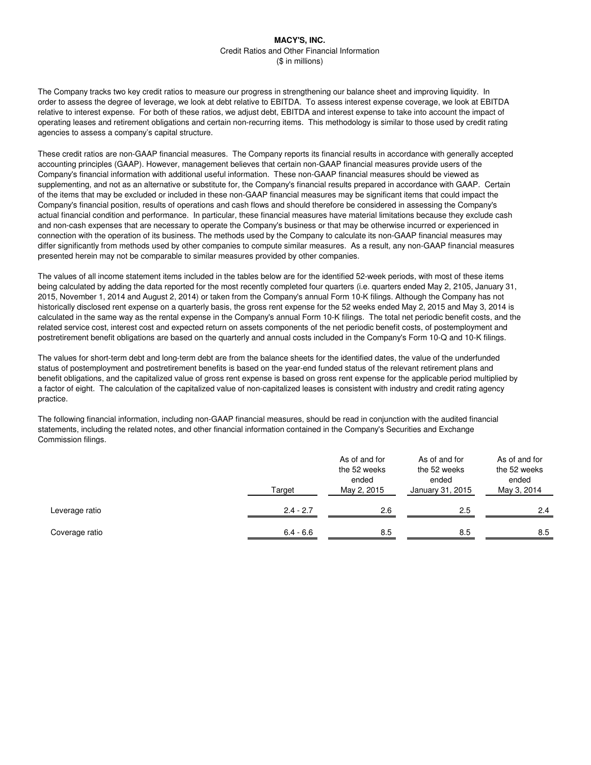The Company tracks two key credit ratios to measure our progress in strengthening our balance sheet and improving liquidity. In order to assess the degree of leverage, we look at debt relative to EBITDA. To assess interest expense coverage, we look at EBITDA relative to interest expense. For both of these ratios, we adjust debt, EBITDA and interest expense to take into account the impact of operating leases and retirement obligations and certain non-recurring items. This methodology is similar to those used by credit rating agencies to assess a company's capital structure.

These credit ratios are non-GAAP financial measures. The Company reports its financial results in accordance with generally accepted accounting principles (GAAP). However, management believes that certain non-GAAP financial measures provide users of the Company's financial information with additional useful information. These non-GAAP financial measures should be viewed as supplementing, and not as an alternative or substitute for, the Company's financial results prepared in accordance with GAAP. Certain of the items that may be excluded or included in these non-GAAP financial measures may be significant items that could impact the Company's financial position, results of operations and cash flows and should therefore be considered in assessing the Company's actual financial condition and performance. In particular, these financial measures have material limitations because they exclude cash and non-cash expenses that are necessary to operate the Company's business or that may be otherwise incurred or experienced in connection with the operation of its business. The methods used by the Company to calculate its non-GAAP financial measures may differ significantly from methods used by other companies to compute similar measures. As a result, any non-GAAP financial measures presented herein may not be comparable to similar measures provided by other companies.

The values of all income statement items included in the tables below are for the identified 52-week periods, with most of these items being calculated by adding the data reported for the most recently completed four quarters (i.e. quarters ended May 2, 2105, January 31, 2015, November 1, 2014 and August 2, 2014) or taken from the Company's annual Form 10-K filings. Although the Company has not historically disclosed rent expense on a quarterly basis, the gross rent expense for the 52 weeks ended May 2, 2015 and May 3, 2014 is calculated in the same way as the rental expense in the Company's annual Form 10-K filings. The total net periodic benefit costs, and the related service cost, interest cost and expected return on assets components of the net periodic benefit costs, of postemployment and postretirement benefit obligations are based on the quarterly and annual costs included in the Company's Form 10-Q and 10-K filings.

The values for short-term debt and long-term debt are from the balance sheets for the identified dates, the value of the underfunded status of postemployment and postretirement benefits is based on the year-end funded status of the relevant retirement plans and benefit obligations, and the capitalized value of gross rent expense is based on gross rent expense for the applicable period multiplied by a factor of eight. The calculation of the capitalized value of non-capitalized leases is consistent with industry and credit rating agency practice.

The following financial information, including non-GAAP financial measures, should be read in conjunction with the audited financial statements, including the related notes, and other financial information contained in the Company's Securities and Exchange Commission filings.

|                | Target      | As of and for<br>the 52 weeks<br>ended<br>May 2, 2015 | As of and for<br>the 52 weeks<br>ended<br>January 31, 2015 | As of and for<br>the 52 weeks<br>ended<br>May 3, 2014 |  |
|----------------|-------------|-------------------------------------------------------|------------------------------------------------------------|-------------------------------------------------------|--|
| Leverage ratio | $2.4 - 2.7$ | 2.6                                                   | 2.5                                                        | 2.4                                                   |  |
| Coverage ratio | $6.4 - 6.6$ | 8.5                                                   | 8.5                                                        | 8.5                                                   |  |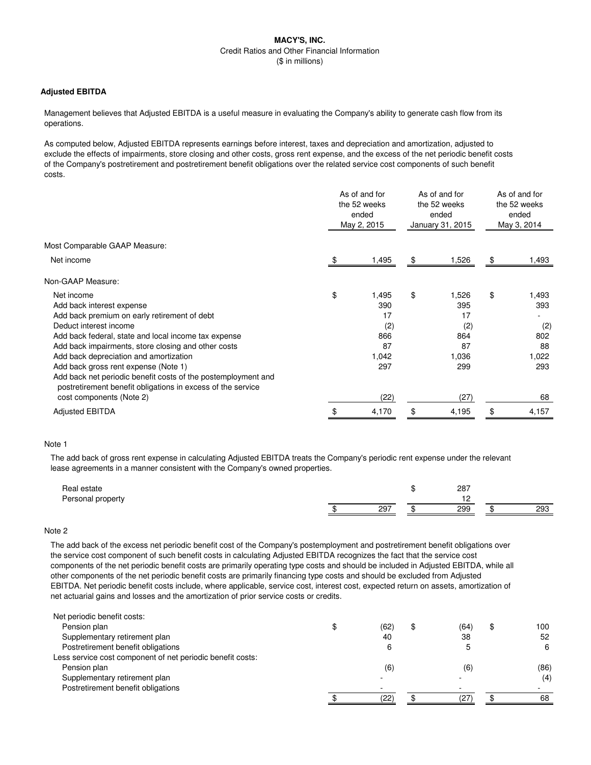## **Adjusted EBITDA**

Management believes that Adjusted EBITDA is a useful measure in evaluating the Company's ability to generate cash flow from its operations.

As computed below, Adjusted EBITDA represents earnings before interest, taxes and depreciation and amortization, adjusted to exclude the effects of impairments, store closing and other costs, gross rent expense, and the excess of the net periodic benefit costs of the Company's postretirement and postretirement benefit obligations over the related service cost components of such benefit costs.

|                                                                                                                              | As of and for<br>the 52 weeks<br>ended<br>May 2, 2015 |       | As of and for<br>the 52 weeks<br>ended<br>January 31, 2015 |       | As of and for<br>the 52 weeks<br>ended<br>May 3, 2014 |       |
|------------------------------------------------------------------------------------------------------------------------------|-------------------------------------------------------|-------|------------------------------------------------------------|-------|-------------------------------------------------------|-------|
| Most Comparable GAAP Measure:                                                                                                |                                                       |       |                                                            |       |                                                       |       |
| Net income                                                                                                                   | - \$                                                  | 1,495 | \$                                                         | 1,526 | \$                                                    | 1,493 |
| Non-GAAP Measure:                                                                                                            |                                                       |       |                                                            |       |                                                       |       |
| Net income                                                                                                                   | \$                                                    | 1,495 | \$                                                         | 1,526 | \$                                                    | 1,493 |
| Add back interest expense                                                                                                    |                                                       | 390   |                                                            | 395   |                                                       | 393   |
| Add back premium on early retirement of debt                                                                                 |                                                       | 17    |                                                            | 17    |                                                       |       |
| Deduct interest income                                                                                                       |                                                       | (2)   |                                                            | (2)   |                                                       | (2)   |
| Add back federal, state and local income tax expense                                                                         |                                                       | 866   |                                                            | 864   |                                                       | 802   |
| Add back impairments, store closing and other costs                                                                          |                                                       | 87    |                                                            | 87    |                                                       | 88    |
| Add back depreciation and amortization                                                                                       |                                                       | 1,042 |                                                            | 1.036 |                                                       | 1,022 |
| Add back gross rent expense (Note 1)                                                                                         |                                                       | 297   |                                                            | 299   |                                                       | 293   |
| Add back net periodic benefit costs of the postemployment and<br>postretirement benefit obligations in excess of the service |                                                       |       |                                                            |       |                                                       |       |
| cost components (Note 2)                                                                                                     |                                                       | (22)  |                                                            | (27)  |                                                       | 68    |
| <b>Adjusted EBITDA</b>                                                                                                       | \$                                                    | 4,170 | \$                                                         | 4,195 | \$                                                    | 4,157 |

#### Note 1

The add back of gross rent expense in calculating Adjusted EBITDA treats the Company's periodic rent expense under the relevant lease agreements in a manner consistent with the Company's owned properties.

| Real estate<br>Personal property |     | 287 |     |
|----------------------------------|-----|-----|-----|
|                                  | 297 | 299 | 293 |
|                                  |     |     |     |

## Note 2

The add back of the excess net periodic benefit cost of the Company's postemployment and postretirement benefit obligations over the service cost component of such benefit costs in calculating Adjusted EBITDA recognizes the fact that the service cost components of the net periodic benefit costs are primarily operating type costs and should be included in Adjusted EBITDA, while all other components of the net periodic benefit costs are primarily financing type costs and should be excluded from Adjusted EBITDA. Net periodic benefit costs include, where applicable, service cost, interest cost, expected return on assets, amortization of net actuarial gains and losses and the amortization of prior service costs or credits.

| Net periodic benefit costs:                                |            |            |      |
|------------------------------------------------------------|------------|------------|------|
| Pension plan                                               | (62)<br>\$ | \$<br>(64) | 100  |
| Supplementary retirement plan                              | 40         | 38         | 52   |
| Postretirement benefit obligations                         | 6          |            | 6    |
| Less service cost component of net periodic benefit costs: |            |            |      |
| Pension plan                                               | (6)        | (6)        | (86) |
| Supplementary retirement plan                              | -          |            | (4)  |
| Postretirement benefit obligations                         |            |            |      |
|                                                            | (22)       | (27        | 68   |
|                                                            |            |            |      |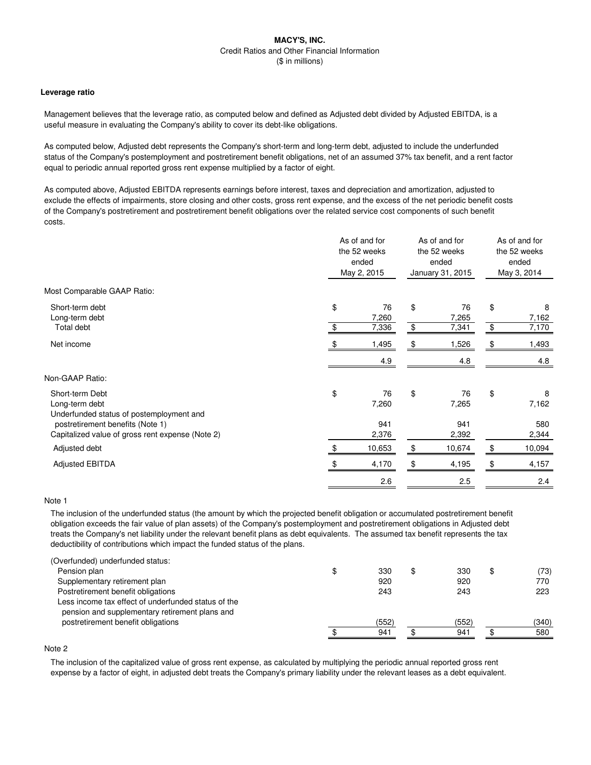### **Leverage ratio**

Management believes that the leverage ratio, as computed below and defined as Adjusted debt divided by Adjusted EBITDA, is a useful measure in evaluating the Company's ability to cover its debt-like obligations.

As computed below, Adjusted debt represents the Company's short-term and long-term debt, adjusted to include the underfunded status of the Company's postemployment and postretirement benefit obligations, net of an assumed 37% tax benefit, and a rent factor equal to periodic annual reported gross rent expense multiplied by a factor of eight.

As computed above, Adjusted EBITDA represents earnings before interest, taxes and depreciation and amortization, adjusted to exclude the effects of impairments, store closing and other costs, gross rent expense, and the excess of the net periodic benefit costs of the Company's postretirement and postretirement benefit obligations over the related service cost components of such benefit costs.

|                                                                                                                   | As of and for<br>the 52 weeks<br>ended<br>May 2, 2015 |                      | As of and for<br>the 52 weeks<br>ended<br>January 31, 2015 |                      | As of and for<br>the 52 weeks<br>ended<br>May 3, 2014 |                     |
|-------------------------------------------------------------------------------------------------------------------|-------------------------------------------------------|----------------------|------------------------------------------------------------|----------------------|-------------------------------------------------------|---------------------|
| Most Comparable GAAP Ratio:                                                                                       |                                                       |                      |                                                            |                      |                                                       |                     |
| Short-term debt<br>Long-term debt<br>Total debt                                                                   | \$<br>\$                                              | 76<br>7,260<br>7,336 | \$<br>\$                                                   | 76<br>7,265<br>7,341 | \$<br>\$                                              | 8<br>7,162<br>7,170 |
| Net income                                                                                                        |                                                       | 1,495<br>4.9         | \$                                                         | 1,526<br>4.8         | \$                                                    | 1,493<br>4.8        |
| Non-GAAP Ratio:                                                                                                   |                                                       |                      |                                                            |                      |                                                       |                     |
| Short-term Debt<br>Long-term debt<br>Underfunded status of postemployment and<br>postretirement benefits (Note 1) | \$                                                    | 76<br>7,260<br>941   | \$                                                         | 76<br>7,265<br>941   | \$                                                    | 8<br>7,162<br>580   |
| Capitalized value of gross rent expense (Note 2)                                                                  |                                                       | 2,376                |                                                            | 2,392                |                                                       | 2,344               |
| Adjusted debt                                                                                                     | \$.                                                   | 10,653               | \$                                                         | 10,674               | \$                                                    | 10,094              |
| <b>Adjusted EBITDA</b>                                                                                            |                                                       | 4,170                | \$                                                         | 4,195                | \$                                                    | 4,157               |
|                                                                                                                   |                                                       | 2.6                  |                                                            | 2.5                  |                                                       | 2.4                 |
|                                                                                                                   |                                                       |                      |                                                            |                      |                                                       |                     |

## Note 1

The inclusion of the underfunded status (the amount by which the projected benefit obligation or accumulated postretirement benefit obligation exceeds the fair value of plan assets) of the Company's postemployment and postretirement obligations in Adjusted debt treats the Company's net liability under the relevant benefit plans as debt equivalents. The assumed tax benefit represents the tax deductibility of contributions which impact the funded status of the plans.

| \$<br>330 | \$<br>330 | \$<br>(73) |
|-----------|-----------|------------|
| 920       | 920       | 770        |
| 243       | 243       | 223        |
|           |           |            |
|           |           |            |
| (552)     | (552)     | (340)      |
| 941       | 941       | 580        |
|           |           |            |

# Note 2

The inclusion of the capitalized value of gross rent expense, as calculated by multiplying the periodic annual reported gross rent expense by a factor of eight, in adjusted debt treats the Company's primary liability under the relevant leases as a debt equivalent.